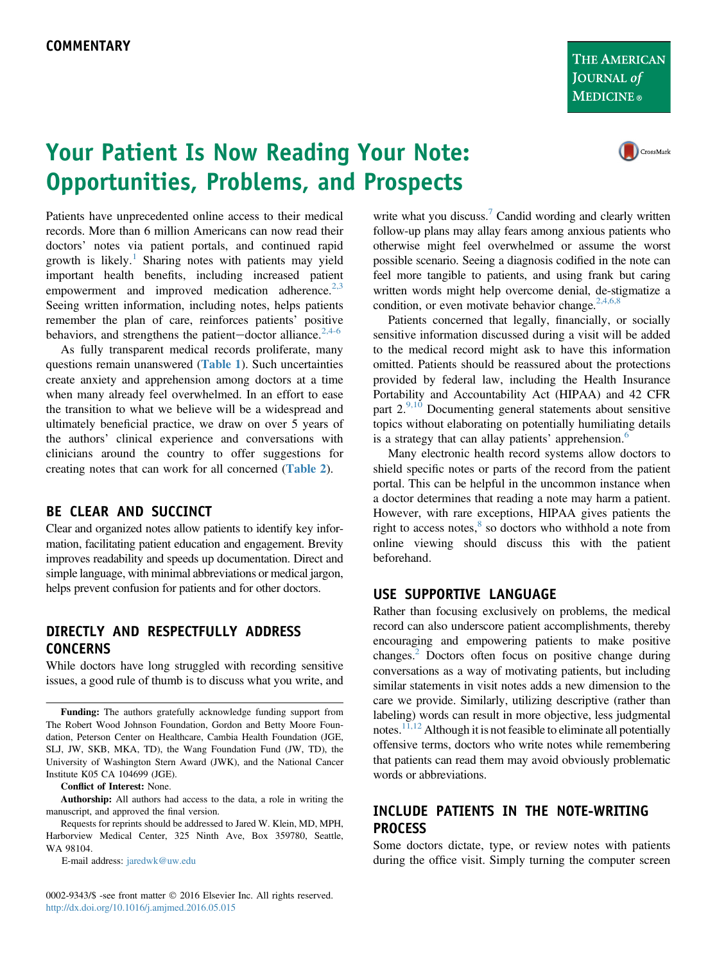THE AMERICAN JOURNAL of **MEDICINE**®

# Your Patient Is Now Reading Your Note: Opportunities, Problems, and Prospects



Patients have unprecedented online access to their medical records. More than 6 million Americans can now read their doctors' notes via patient portals, and continued rapid growth is likely.<sup>[1](#page-3-0)</sup> Sharing notes with patients may yield important health benefits, including increased patient empowerment and improved medication adherence. $2.3$ Seeing written information, including notes, helps patients remember the plan of care, reinforces patients' positive behaviors, and strengthens the patient-doctor alliance.<sup>[2,4-6](#page-3-0)</sup>

As fully transparent medical records proliferate, many questions remain unanswered ([Table 1](#page-1-0)). Such uncertainties create anxiety and apprehension among doctors at a time when many already feel overwhelmed. In an effort to ease the transition to what we believe will be a widespread and ultimately beneficial practice, we draw on over 5 years of the authors' clinical experience and conversations with clinicians around the country to offer suggestions for creating notes that can work for all concerned ([Table 2](#page-1-0)).

## BE CLEAR AND SUCCINCT

Clear and organized notes allow patients to identify key information, facilitating patient education and engagement. Brevity improves readability and speeds up documentation. Direct and simple language, with minimal abbreviations or medical jargon, helps prevent confusion for patients and for other doctors.

## DIRECTLY AND RESPECTFULLY ADDRESS CONCERNS

While doctors have long struggled with recording sensitive issues, a good rule of thumb is to discuss what you write, and

Conflict of Interest: None.

Authorship: All authors had access to the data, a role in writing the manuscript, and approved the final version.

Requests for reprints should be addressed to Jared W. Klein, MD, MPH, Harborview Medical Center, 325 Ninth Ave, Box 359780, Seattle, WA 98104.

E-mail address: [jaredwk@uw.edu](mailto:jaredwk@uw.edu)

0002-9343/\$ -see front matter © 2016 Elsevier Inc. All rights reserved. <http://dx.doi.org/10.1016/j.amjmed.2016.05.015>

write what you discuss.<sup>7</sup> Candid wording and clearly written follow-up plans may allay fears among anxious patients who otherwise might feel overwhelmed or assume the worst possible scenario. Seeing a diagnosis codified in the note can feel more tangible to patients, and using frank but caring written words might help overcome denial, de-stigmatize a condition, or even motivate behavior change.  $2,4,6,8$ 

Patients concerned that legally, financially, or socially sensitive information discussed during a visit will be added to the medical record might ask to have this information omitted. Patients should be reassured about the protections provided by federal law, including the Health Insurance Portability and Accountability Act (HIPAA) and 42 CFR part  $2^{9,10}$  $2^{9,10}$  $2^{9,10}$  Documenting general statements about sensitive topics without elaborating on potentially humiliating details is a strategy that can allay patients' apprehension.<sup>[6](#page-3-0)</sup>

Many electronic health record systems allow doctors to shield specific notes or parts of the record from the patient portal. This can be helpful in the uncommon instance when a doctor determines that reading a note may harm a patient. However, with rare exceptions, HIPAA gives patients the right to access notes, $8$  so doctors who withhold a note from online viewing should discuss this with the patient beforehand.

### USE SUPPORTIVE LANGUAGE

Rather than focusing exclusively on problems, the medical record can also underscore patient accomplishments, thereby encouraging and empowering patients to make positive changes.[2](#page-3-0) Doctors often focus on positive change during conversations as a way of motivating patients, but including similar statements in visit notes adds a new dimension to the care we provide. Similarly, utilizing descriptive (rather than labeling) words can result in more objective, less judgmental notes.<sup>[11,12](#page-3-0)</sup> Although it is not feasible to eliminate all potentially offensive terms, doctors who write notes while remembering that patients can read them may avoid obviously problematic words or abbreviations.

# INCLUDE PATIENTS IN THE NOTE-WRITING PROCESS

Some doctors dictate, type, or review notes with patients during the office visit. Simply turning the computer screen

Funding: The authors gratefully acknowledge funding support from The Robert Wood Johnson Foundation, Gordon and Betty Moore Foundation, Peterson Center on Healthcare, Cambia Health Foundation (JGE, SLJ, JW, SKB, MKA, TD), the Wang Foundation Fund (JW, TD), the University of Washington Stern Award (JWK), and the National Cancer Institute K05 CA 104699 (JGE).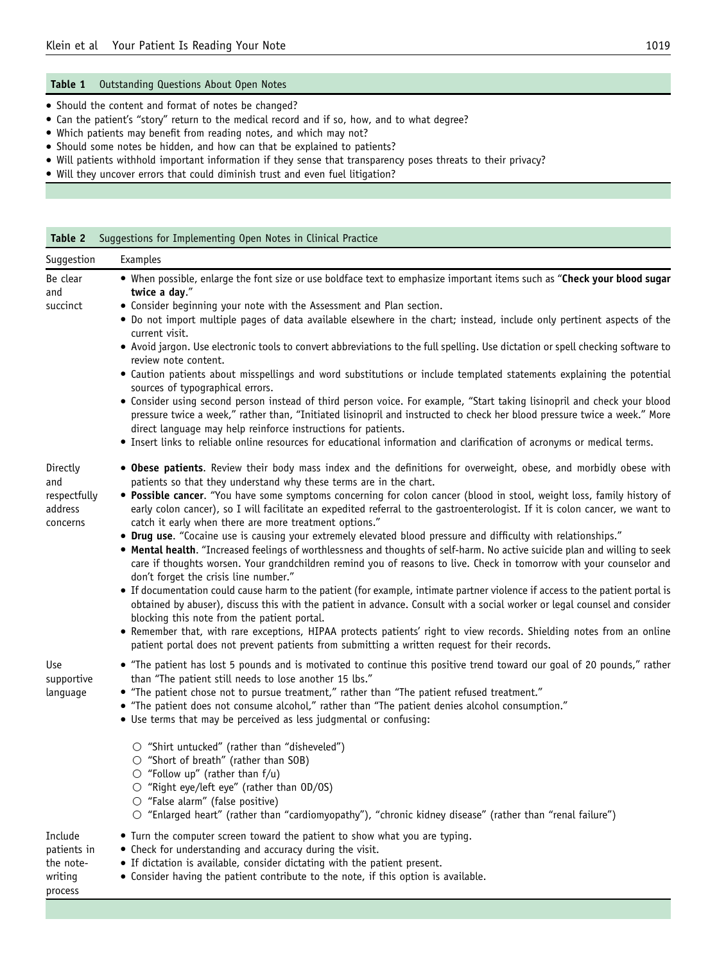#### <span id="page-1-0"></span>Table 1 Outstanding Questions About Open Notes

- Should the content and format of notes be changed?
- Can the patient's "story" return to the medical record and if so, how, and to what degree?
- Which patients may benefit from reading notes, and which may not?
- Should some notes be hidden, and how can that be explained to patients?
- Will patients withhold important information if they sense that transparency poses threats to their privacy?
- Will they uncover errors that could diminish trust and even fuel litigation?

Table 2 Suggestions for Implementing Open Notes in Clinical Practice

| Suggestion                                                | Examples                                                                                                                                                                                                                                                                                                                                                                                                                                                                                                                                                                                                                                                                                                                                                                                                                                                                                                                                                                                                                                                                                                                                                                                                                                                                                                                                                                                                                                                             |
|-----------------------------------------------------------|----------------------------------------------------------------------------------------------------------------------------------------------------------------------------------------------------------------------------------------------------------------------------------------------------------------------------------------------------------------------------------------------------------------------------------------------------------------------------------------------------------------------------------------------------------------------------------------------------------------------------------------------------------------------------------------------------------------------------------------------------------------------------------------------------------------------------------------------------------------------------------------------------------------------------------------------------------------------------------------------------------------------------------------------------------------------------------------------------------------------------------------------------------------------------------------------------------------------------------------------------------------------------------------------------------------------------------------------------------------------------------------------------------------------------------------------------------------------|
| Be clear<br>and<br>succinct                               | • When possible, enlarge the font size or use boldface text to emphasize important items such as "Check your blood sugar<br>twice a day."<br>• Consider beginning your note with the Assessment and Plan section.<br>• Do not import multiple pages of data available elsewhere in the chart; instead, include only pertinent aspects of the<br>current visit.<br>• Avoid jargon. Use electronic tools to convert abbreviations to the full spelling. Use dictation or spell checking software to<br>review note content.<br>• Caution patients about misspellings and word substitutions or include templated statements explaining the potential<br>sources of typographical errors.<br>• Consider using second person instead of third person voice. For example, "Start taking lisinopril and check your blood<br>pressure twice a week," rather than, "Initiated lisinopril and instructed to check her blood pressure twice a week." More<br>direct language may help reinforce instructions for patients.<br>. Insert links to reliable online resources for educational information and clarification of acronyms or medical terms.                                                                                                                                                                                                                                                                                                                          |
| Directly<br>and<br>respectfully<br>address<br>concerns    | . Obese patients. Review their body mass index and the definitions for overweight, obese, and morbidly obese with<br>patients so that they understand why these terms are in the chart.<br>. Possible cancer. "You have some symptoms concerning for colon cancer (blood in stool, weight loss, family history of<br>early colon cancer), so I will facilitate an expedited referral to the gastroenterologist. If it is colon cancer, we want to<br>catch it early when there are more treatment options."<br>• Drug use. "Cocaine use is causing your extremely elevated blood pressure and difficulty with relationships."<br>. Mental health. "Increased feelings of worthlessness and thoughts of self-harm. No active suicide plan and willing to seek<br>care if thoughts worsen. Your grandchildren remind you of reasons to live. Check in tomorrow with your counselor and<br>don't forget the crisis line number."<br>• If documentation could cause harm to the patient (for example, intimate partner violence if access to the patient portal is<br>obtained by abuser), discuss this with the patient in advance. Consult with a social worker or legal counsel and consider<br>blocking this note from the patient portal.<br>• Remember that, with rare exceptions, HIPAA protects patients' right to view records. Shielding notes from an online<br>patient portal does not prevent patients from submitting a written request for their records. |
| Use<br>supportive<br>language                             | • "The patient has lost 5 pounds and is motivated to continue this positive trend toward our goal of 20 pounds," rather<br>than "The patient still needs to lose another 15 lbs."<br>• "The patient chose not to pursue treatment," rather than "The patient refused treatment."<br>• "The patient does not consume alcohol," rather than "The patient denies alcohol consumption."<br>• Use terms that may be perceived as less judgmental or confusing:<br>$\circ$ "Shirt untucked" (rather than "disheveled")<br>○ "Short of breath" (rather than SOB)<br>$\bigcirc$ "Follow up" (rather than f/u)<br>○ "Right eye/left eye" (rather than OD/OS)<br>$\circ$ "False alarm" (false positive)<br>O "Enlarged heart" (rather than "cardiomyopathy"), "chronic kidney disease" (rather than "renal failure")                                                                                                                                                                                                                                                                                                                                                                                                                                                                                                                                                                                                                                                           |
| Include<br>patients in<br>the note-<br>writing<br>process | • Turn the computer screen toward the patient to show what you are typing.<br>• Check for understanding and accuracy during the visit.<br>• If dictation is available, consider dictating with the patient present.<br>• Consider having the patient contribute to the note, if this option is available.                                                                                                                                                                                                                                                                                                                                                                                                                                                                                                                                                                                                                                                                                                                                                                                                                                                                                                                                                                                                                                                                                                                                                            |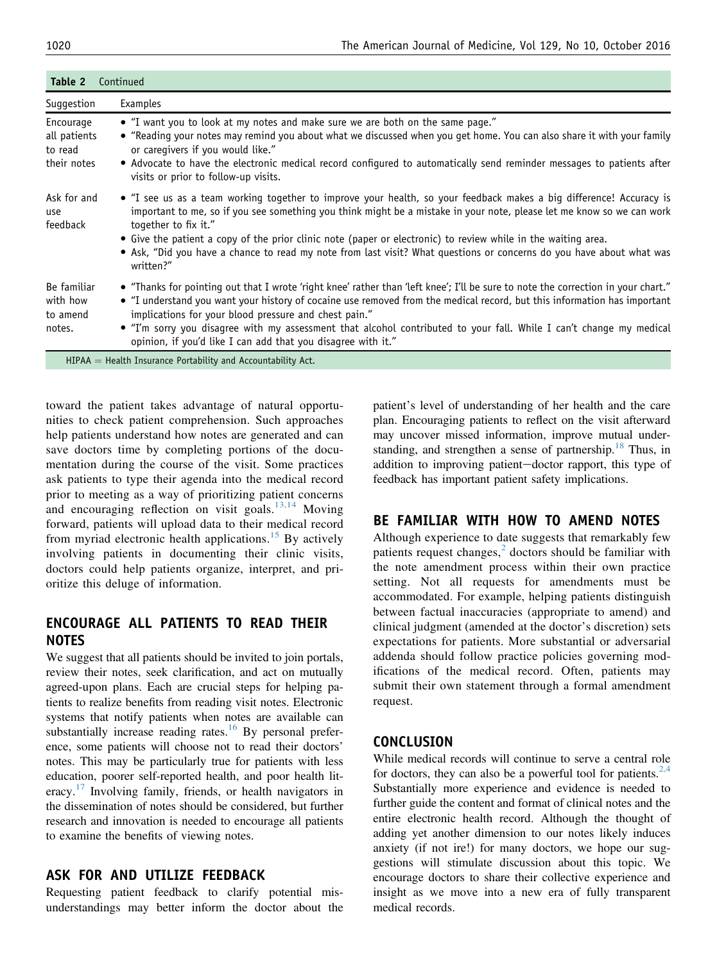| Table 2<br>Continued                                |                                                                                                                                                                                                                                                                                                                                                                                                                                                                                                                            |  |
|-----------------------------------------------------|----------------------------------------------------------------------------------------------------------------------------------------------------------------------------------------------------------------------------------------------------------------------------------------------------------------------------------------------------------------------------------------------------------------------------------------------------------------------------------------------------------------------------|--|
| Suggestion                                          | Examples                                                                                                                                                                                                                                                                                                                                                                                                                                                                                                                   |  |
| Encourage<br>all patients<br>to read<br>their notes | • "I want you to look at my notes and make sure we are both on the same page."<br>• "Reading your notes may remind you about what we discussed when you get home. You can also share it with your family<br>or caregivers if you would like."<br>• Advocate to have the electronic medical record configured to automatically send reminder messages to patients after<br>visits or prior to follow-up visits.                                                                                                             |  |
| Ask for and<br>use<br>feedback                      | • "I see us as a team working together to improve your health, so your feedback makes a big difference! Accuracy is<br>important to me, so if you see something you think might be a mistake in your note, please let me know so we can work<br>together to fix it."<br>• Give the patient a copy of the prior clinic note (paper or electronic) to review while in the waiting area.<br>• Ask, "Did you have a chance to read my note from last visit? What questions or concerns do you have about what was<br>written?" |  |
| Be familiar<br>with how<br>to amend<br>notes.       | • "Thanks for pointing out that I wrote 'right knee' rather than 'left knee'; I'll be sure to note the correction in your chart."<br>• "I understand you want your history of cocaine use removed from the medical record, but this information has important<br>implications for your blood pressure and chest pain."<br>• "I'm sorry you disagree with my assessment that alcohol contributed to your fall. While I can't change my medical<br>opinion, if you'd like I can add that you disagree with it."              |  |
|                                                     |                                                                                                                                                                                                                                                                                                                                                                                                                                                                                                                            |  |

 $HIPAA =$  Health Insurance Portability and Accountability Act.

toward the patient takes advantage of natural opportunities to check patient comprehension. Such approaches help patients understand how notes are generated and can save doctors time by completing portions of the documentation during the course of the visit. Some practices ask patients to type their agenda into the medical record prior to meeting as a way of prioritizing patient concerns and encouraging reflection on visit goals.<sup>[13,14](#page-3-0)</sup> Moving forward, patients will upload data to their medical record from myriad electronic health applications.<sup>[15](#page-3-0)</sup> By actively involving patients in documenting their clinic visits, doctors could help patients organize, interpret, and prioritize this deluge of information.

## ENCOURAGE ALL PATIENTS TO READ THEIR NOTES

We suggest that all patients should be invited to join portals, review their notes, seek clarification, and act on mutually agreed-upon plans. Each are crucial steps for helping patients to realize benefits from reading visit notes. Electronic systems that notify patients when notes are available can substantially increase reading rates.<sup>[16](#page-3-0)</sup> By personal preference, some patients will choose not to read their doctors' notes. This may be particularly true for patients with less education, poorer self-reported health, and poor health lit-eracy.<sup>[17](#page-3-0)</sup> Involving family, friends, or health navigators in the dissemination of notes should be considered, but further research and innovation is needed to encourage all patients to examine the benefits of viewing notes.

#### ASK FOR AND UTILIZE FEEDBACK

Requesting patient feedback to clarify potential misunderstandings may better inform the doctor about the patient's level of understanding of her health and the care plan. Encouraging patients to reflect on the visit afterward may uncover missed information, improve mutual under-standing, and strengthen a sense of partnership.<sup>[18](#page-3-0)</sup> Thus, in addition to improving patient-doctor rapport, this type of feedback has important patient safety implications.

## BE FAMILIAR WITH HOW TO AMEND NOTES

Although experience to date suggests that remarkably few patients request changes, $<sup>2</sup>$  $<sup>2</sup>$  $<sup>2</sup>$  doctors should be familiar with</sup> the note amendment process within their own practice setting. Not all requests for amendments must be accommodated. For example, helping patients distinguish between factual inaccuracies (appropriate to amend) and clinical judgment (amended at the doctor's discretion) sets expectations for patients. More substantial or adversarial addenda should follow practice policies governing modifications of the medical record. Often, patients may submit their own statement through a formal amendment request.

#### CONCLUSION

While medical records will continue to serve a central role for doctors, they can also be a powerful tool for patients.<sup>[2,4](#page-3-0)</sup> Substantially more experience and evidence is needed to further guide the content and format of clinical notes and the entire electronic health record. Although the thought of adding yet another dimension to our notes likely induces anxiety (if not ire!) for many doctors, we hope our suggestions will stimulate discussion about this topic. We encourage doctors to share their collective experience and insight as we move into a new era of fully transparent medical records.